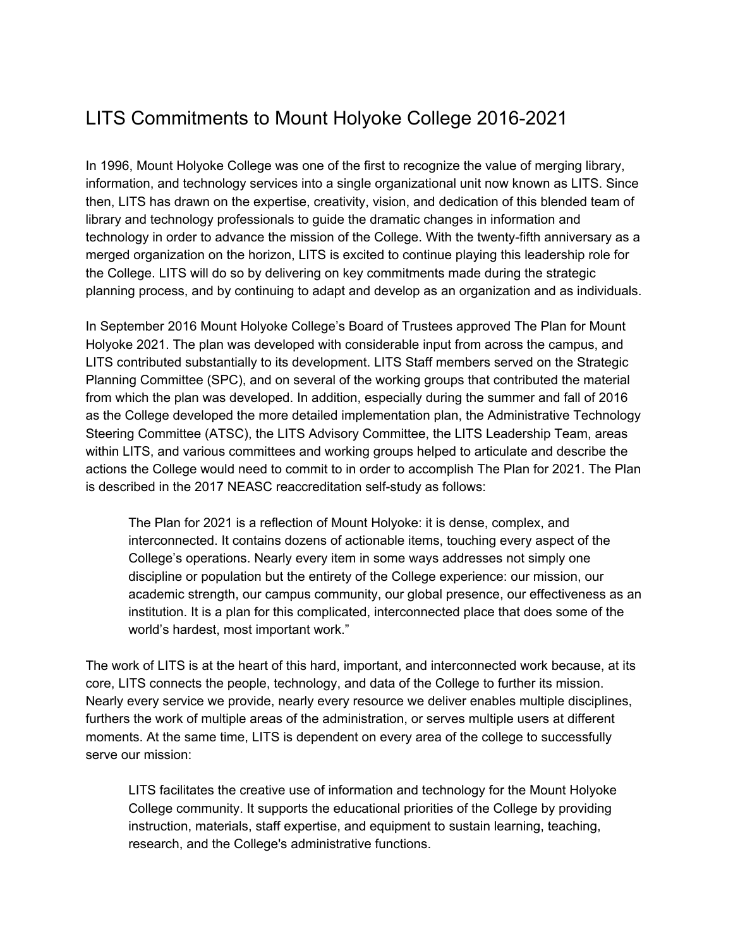# LITS Commitments to Mount Holyoke College 2016-2021

In 1996, Mount Holyoke College was one of the first to recognize the value of merging library, information, and technology services into a single organizational unit now known as LITS. Since then, LITS has drawn on the expertise, creativity, vision, and dedication of this blended team of library and technology professionals to guide the dramatic changes in information and technology in order to advance the mission of the College. With the twenty-fifth anniversary as a merged organization on the horizon, LITS is excited to continue playing this leadership role for the College. LITS will do so by delivering on key commitments made during the strategic planning process, and by continuing to adapt and develop as an organization and as individuals.

In September 2016 Mount Holyoke College's Board of Trustees approved The Plan for Mount Holyoke 2021. The plan was developed with considerable input from across the campus, and LITS contributed substantially to its development. LITS Staff members served on the Strategic Planning Committee (SPC), and on several of the working groups that contributed the material from which the plan was developed. In addition, especially during the summer and fall of 2016 as the College developed the more detailed implementation plan, the Administrative Technology Steering Committee (ATSC), the LITS Advisory Committee, the LITS Leadership Team, areas within LITS, and various committees and working groups helped to articulate and describe the actions the College would need to commit to in order to accomplish The Plan for 2021. The Plan is described in the 2017 NEASC reaccreditation self-study as follows:

The Plan for 2021 is a reflection of Mount Holyoke: it is dense, complex, and interconnected. It contains dozens of actionable items, touching every aspect of the College's operations. Nearly every item in some ways addresses not simply one discipline or population but the entirety of the College experience: our mission, our academic strength, our campus community, our global presence, our effectiveness as an institution. It is a plan for this complicated, interconnected place that does some of the world's hardest, most important work."

The work of LITS is at the heart of this hard, important, and interconnected work because, at its core, LITS connects the people, technology, and data of the College to further its mission. Nearly every service we provide, nearly every resource we deliver enables multiple disciplines, furthers the work of multiple areas of the administration, or serves multiple users at different moments. At the same time, LITS is dependent on every area of the college to successfully serve our mission:

LITS facilitates the creative use of information and technology for the Mount Holyoke College community. It supports the educational priorities of the College by providing instruction, materials, staff expertise, and equipment to sustain learning, teaching, research, and the College's administrative functions.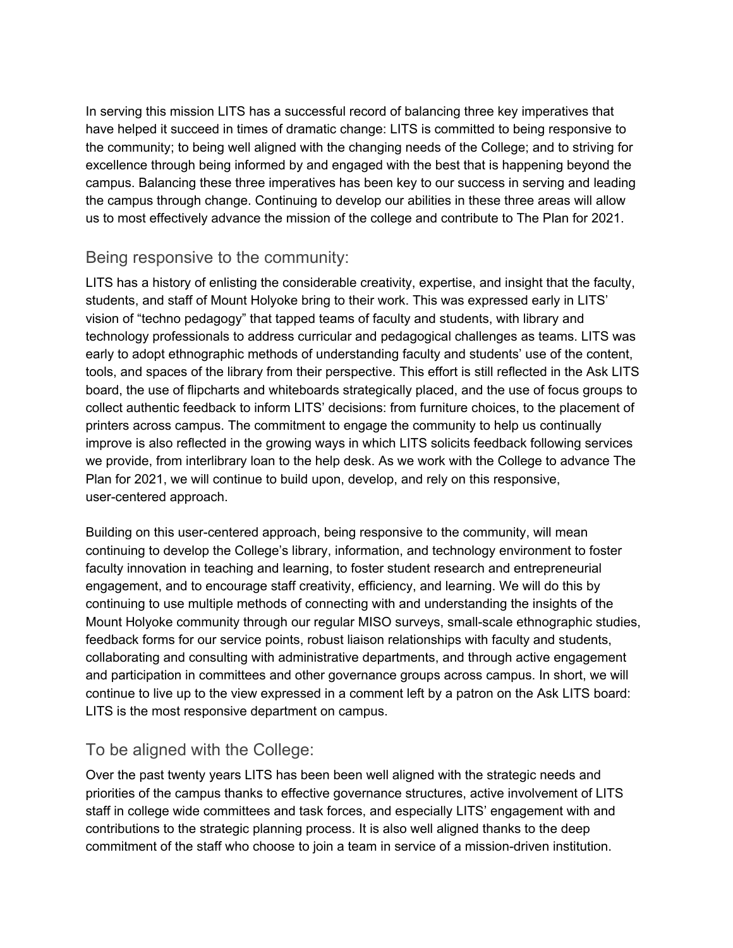In serving this mission LITS has a successful record of balancing three key imperatives that have helped it succeed in times of dramatic change: LITS is committed to being responsive to the community; to being well aligned with the changing needs of the College; and to striving for excellence through being informed by and engaged with the best that is happening beyond the campus. Balancing these three imperatives has been key to our success in serving and leading the campus through change. Continuing to develop our abilities in these three areas will allow us to most effectively advance the mission of the college and contribute to The Plan for 2021.

### Being responsive to the community:

LITS has a history of enlisting the considerable creativity, expertise, and insight that the faculty, students, and staff of Mount Holyoke bring to their work. This was expressed early in LITS' vision of "techno pedagogy" that tapped teams of faculty and students, with library and technology professionals to address curricular and pedagogical challenges as teams. LITS was early to adopt ethnographic methods of understanding faculty and students' use of the content, tools, and spaces of the library from their perspective. This effort is still reflected in the Ask LITS board, the use of flipcharts and whiteboards strategically placed, and the use of focus groups to collect authentic feedback to inform LITS' decisions: from furniture choices, to the placement of printers across campus. The commitment to engage the community to help us continually improve is also reflected in the growing ways in which LITS solicits feedback following services we provide, from interlibrary loan to the help desk. As we work with the College to advance The Plan for 2021, we will continue to build upon, develop, and rely on this responsive, user-centered approach.

Building on this user-centered approach, being responsive to the community, will mean continuing to develop the College's library, information, and technology environment to foster faculty innovation in teaching and learning, to foster student research and entrepreneurial engagement, and to encourage staff creativity, efficiency, and learning. We will do this by continuing to use multiple methods of connecting with and understanding the insights of the Mount Holyoke community through our regular MISO surveys, small-scale ethnographic studies, feedback forms for our service points, robust liaison relationships with faculty and students, collaborating and consulting with administrative departments, and through active engagement and participation in committees and other governance groups across campus. In short, we will continue to live up to the view expressed in a comment left by a patron on the Ask LITS board: LITS is the most responsive department on campus.

# To be aligned with the College:

Over the past twenty years LITS has been been well aligned with the strategic needs and priorities of the campus thanks to effective governance structures, active involvement of LITS staff in college wide committees and task forces, and especially LITS' engagement with and contributions to the strategic planning process. It is also well aligned thanks to the deep commitment of the staff who choose to join a team in service of a mission-driven institution.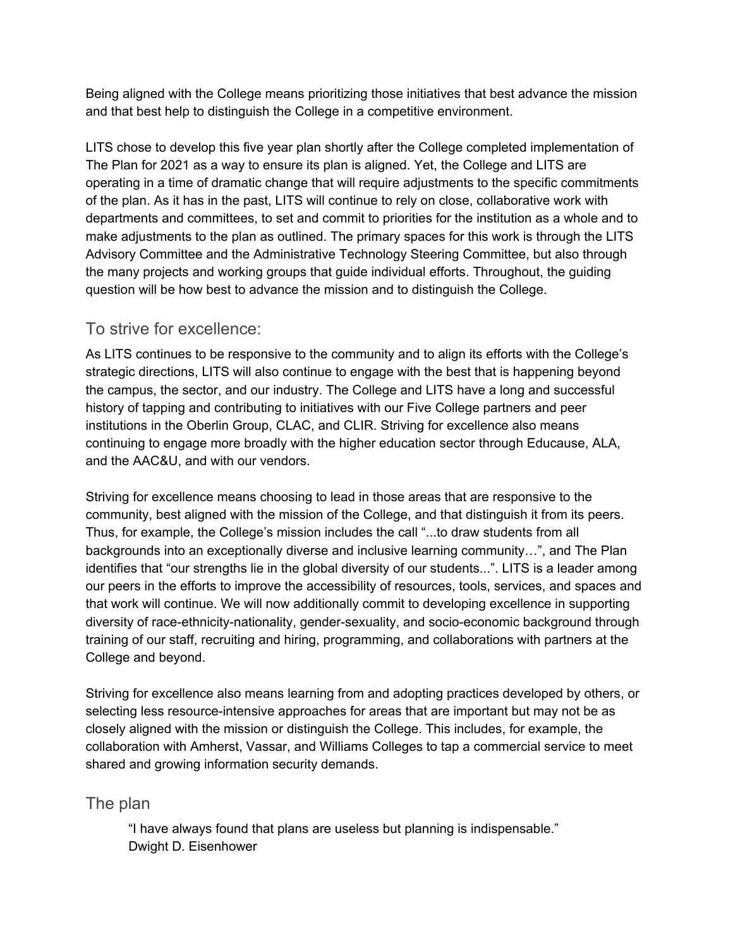Being aligned with the College means prioritizing those initiatives that best advance the mission and that best help to distinguish the College in a competitive environment.

LITS chose to develop this five year plan shortly after the College completed implementation of The Plan for 2021 as a way to ensure its plan is aligned. Yet, the College and LITS are operating in a time of dramatic change that will require adjustments to the specific commitments of the plan. As it has in the past, LITS will continue to rely on close, collaborative work with departments and committees, to set and commit to priorities for the institution as a whole and to make adjustments to the plan as outlined. The primary spaces for this work is through the LITS Advisory Committee and the Administrative Technology Steering Committee, but also through the many projects and working groups that guide individual efforts. Throughout, the guiding question will be how best to advance the mission and to distinguish the College.

### To strive for excellence:

As LITS continues to be responsive to the community and to align its efforts with the College's strategic directions, LITS will also continue to engage with the best that is happening beyond the campus, the sector, and our industry. The College and LITS have a long and successful history of tapping and contributing to initiatives with our Five College partners and peer institutions in the Oberlin Group, CLAC, and CLIR. Striving for excellence also means continuing to engage more broadly with the higher education sector through Educause, ALA, and the AAC&U, and with our vendors.

Striving for excellence means choosing to lead in those areas that are responsive to the community, best aligned with the mission of the College, and that distinguish it from its peers. Thus, for example, the College's mission includes the call "...to draw students from all backgrounds into an exceptionally diverse and inclusive learning community…", and The Plan identifies that "our strengths lie in the global diversity of our students...". LITS is a leader among our peers in the efforts to improve the accessibility of resources, tools, services, and spaces and that work will continue. We will now additionally commit to developing excellence in supporting diversity of race-ethnicity-nationality, gender-sexuality, and socio-economic background through training of our staff, recruiting and hiring, programming, and collaborations with partners at the College and beyond.

Striving for excellence also means learning from and adopting practices developed by others, or selecting less resource-intensive approaches for areas that are important but may not be as closely aligned with the mission or distinguish the College. This includes, for example, the collaboration with Amherst, Vassar, and Williams Colleges to tap a commercial service to meet shared and growing information security demands.

# The plan

"I have always found that plans are useless but planning is indispensable." Dwight D. Eisenhower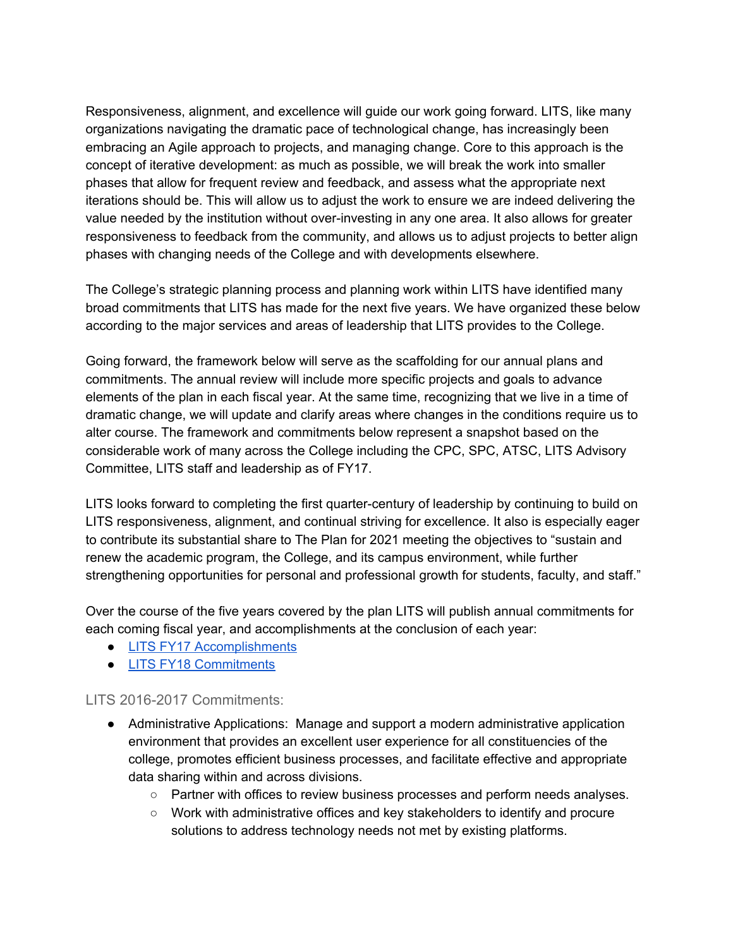Responsiveness, alignment, and excellence will guide our work going forward. LITS, like many organizations navigating the dramatic pace of technological change, has increasingly been embracing an Agile approach to projects, and managing change. Core to this approach is the concept of iterative development: as much as possible, we will break the work into smaller phases that allow for frequent review and feedback, and assess what the appropriate next iterations should be. This will allow us to adjust the work to ensure we are indeed delivering the value needed by the institution without over-investing in any one area. It also allows for greater responsiveness to feedback from the community, and allows us to adjust projects to better align phases with changing needs of the College and with developments elsewhere.

The College's strategic planning process and planning work within LITS have identified many broad commitments that LITS has made for the next five years. We have organized these below according to the major services and areas of leadership that LITS provides to the College.

Going forward, the framework below will serve as the scaffolding for our annual plans and commitments. The annual review will include more specific projects and goals to advance elements of the plan in each fiscal year. At the same time, recognizing that we live in a time of dramatic change, we will update and clarify areas where changes in the conditions require us to alter course. The framework and commitments below represent a snapshot based on the considerable work of many across the College including the CPC, SPC, ATSC, LITS Advisory Committee, LITS staff and leadership as of FY17.

LITS looks forward to completing the first quarter-century of leadership by continuing to build on LITS responsiveness, alignment, and continual striving for excellence. It also is especially eager to contribute its substantial share to The Plan for 2021 meeting the objectives to "sustain and renew the academic program, the College, and its campus environment, while further strengthening opportunities for personal and professional growth for students, faculty, and staff."

Over the course of the five years covered by the plan LITS will publish annual commitments for each coming fiscal year, and accomplishments at the conclusion of each year:

- LITS FY17 [Accomplishments](https://www.mtholyoke.edu/sites/default/files/lits/docs/LITS_FY17_Accomplishments.pdf)
- LITS FY18 [Commitments](https://www.mtholyoke.edu/sites/default/files/lits/docs/LITSFY18CommitmentstoMHC.pdf)

#### LITS 2016-2017 Commitments:

- Administrative Applications: Manage and support a modern administrative application environment that provides an excellent user experience for all constituencies of the college, promotes efficient business processes, and facilitate effective and appropriate data sharing within and across divisions.
	- Partner with offices to review business processes and perform needs analyses.
	- Work with administrative offices and key stakeholders to identify and procure solutions to address technology needs not met by existing platforms.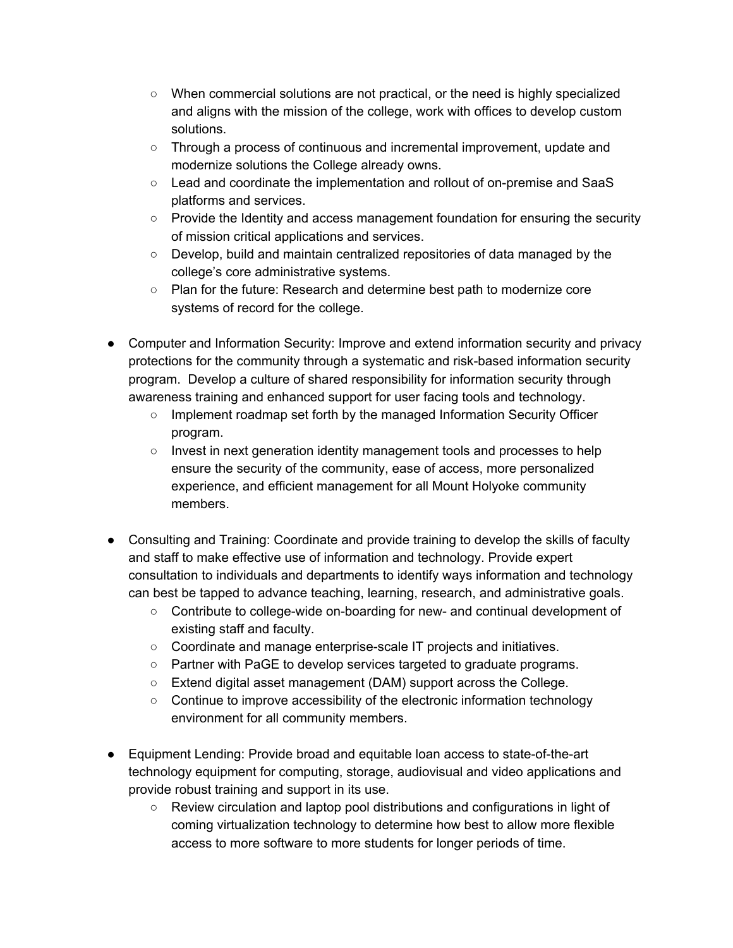- When commercial solutions are not practical, or the need is highly specialized and aligns with the mission of the college, work with offices to develop custom solutions.
- Through a process of continuous and incremental improvement, update and modernize solutions the College already owns.
- Lead and coordinate the implementation and rollout of on-premise and SaaS platforms and services.
- Provide the Identity and access management foundation for ensuring the security of mission critical applications and services.
- Develop, build and maintain centralized repositories of data managed by the college's core administrative systems.
- Plan for the future: Research and determine best path to modernize core systems of record for the college.
- Computer and Information Security: Improve and extend information security and privacy protections for the community through a systematic and risk-based information security program. Develop a culture of shared responsibility for information security through awareness training and enhanced support for user facing tools and technology.
	- Implement roadmap set forth by the managed Information Security Officer program.
	- Invest in next generation identity management tools and processes to help ensure the security of the community, ease of access, more personalized experience, and efficient management for all Mount Holyoke community members.
- Consulting and Training: Coordinate and provide training to develop the skills of faculty and staff to make effective use of information and technology. Provide expert consultation to individuals and departments to identify ways information and technology can best be tapped to advance teaching, learning, research, and administrative goals.
	- Contribute to college-wide on-boarding for new- and continual development of existing staff and faculty.
	- Coordinate and manage enterprise-scale IT projects and initiatives.
	- Partner with PaGE to develop services targeted to graduate programs.
	- Extend digital asset management (DAM) support across the College.
	- Continue to improve accessibility of the electronic information technology environment for all community members.
- Equipment Lending: Provide broad and equitable loan access to state-of-the-art technology equipment for computing, storage, audiovisual and video applications and provide robust training and support in its use.
	- Review circulation and laptop pool distributions and configurations in light of coming virtualization technology to determine how best to allow more flexible access to more software to more students for longer periods of time.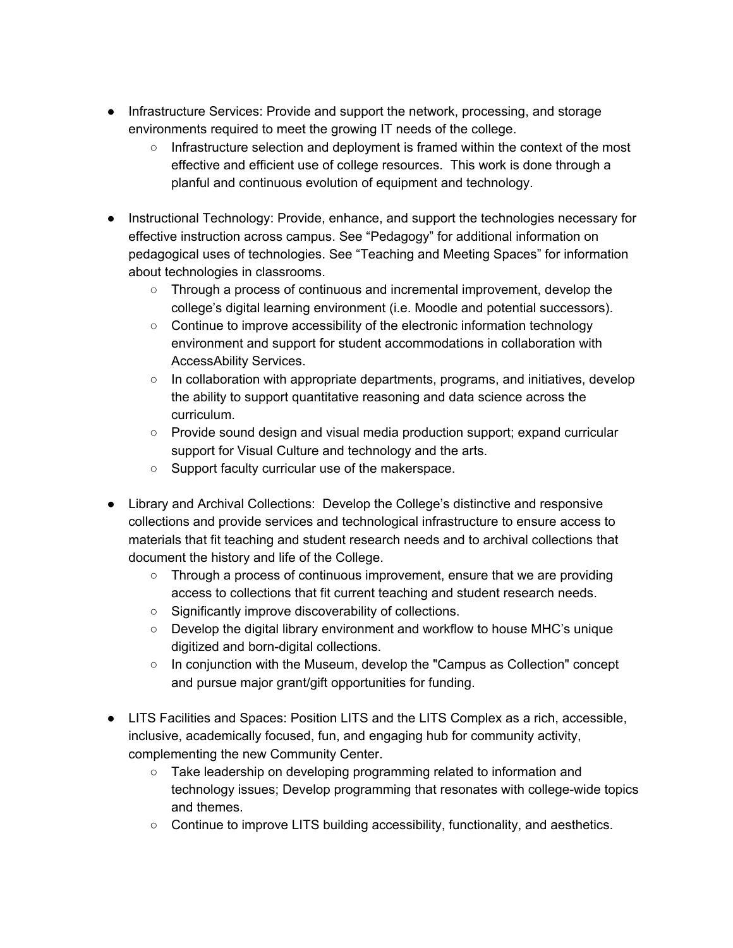- Infrastructure Services: Provide and support the network, processing, and storage environments required to meet the growing IT needs of the college.
	- Infrastructure selection and deployment is framed within the context of the most effective and efficient use of college resources. This work is done through a planful and continuous evolution of equipment and technology.
- Instructional Technology: Provide, enhance, and support the technologies necessary for effective instruction across campus. See "Pedagogy" for additional information on pedagogical uses of technologies. See "Teaching and Meeting Spaces" for information about technologies in classrooms.
	- Through a process of continuous and incremental improvement, develop the college's digital learning environment (i.e. Moodle and potential successors).
	- Continue to improve accessibility of the electronic information technology environment and support for student accommodations in collaboration with AccessAbility Services.
	- $\circ$  In collaboration with appropriate departments, programs, and initiatives, develop the ability to support quantitative reasoning and data science across the curriculum.
	- Provide sound design and visual media production support; expand curricular support for Visual Culture and technology and the arts.
	- Support faculty curricular use of the makerspace.
- Library and Archival Collections: Develop the College's distinctive and responsive collections and provide services and technological infrastructure to ensure access to materials that fit teaching and student research needs and to archival collections that document the history and life of the College.
	- Through a process of continuous improvement, ensure that we are providing access to collections that fit current teaching and student research needs.
	- Significantly improve discoverability of collections.
	- Develop the digital library environment and workflow to house MHC's unique digitized and born-digital collections.
	- In conjunction with the Museum, develop the "Campus as Collection" concept and pursue major grant/gift opportunities for funding.
- LITS Facilities and Spaces: Position LITS and the LITS Complex as a rich, accessible, inclusive, academically focused, fun, and engaging hub for community activity, complementing the new Community Center.
	- Take leadership on developing programming related to information and technology issues; Develop programming that resonates with college-wide topics and themes.
	- Continue to improve LITS building accessibility, functionality, and aesthetics.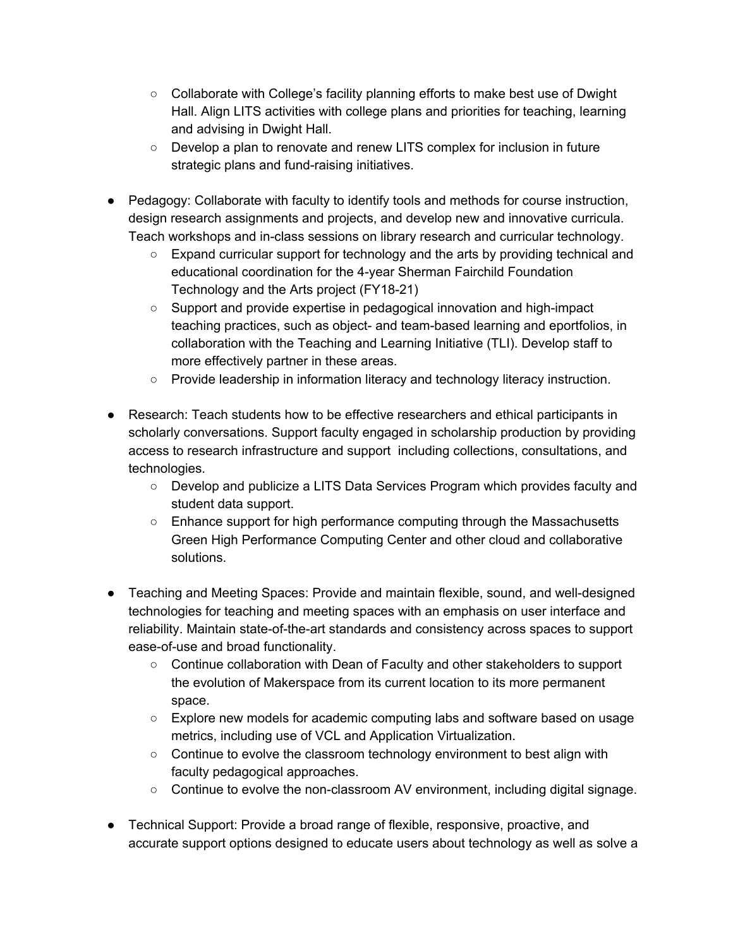- Collaborate with College's facility planning efforts to make best use of Dwight Hall. Align LITS activities with college plans and priorities for teaching, learning and advising in Dwight Hall.
- Develop a plan to renovate and renew LITS complex for inclusion in future strategic plans and fund-raising initiatives.
- Pedagogy: Collaborate with faculty to identify tools and methods for course instruction, design research assignments and projects, and develop new and innovative curricula. Teach workshops and in-class sessions on library research and curricular technology.
	- Expand curricular support for technology and the arts by providing technical and educational coordination for the 4-year Sherman Fairchild Foundation Technology and the Arts project (FY18-21)
	- Support and provide expertise in pedagogical innovation and high-impact teaching practices, such as object- and team-based learning and eportfolios, in collaboration with the Teaching and Learning Initiative (TLI). Develop staff to more effectively partner in these areas.
	- Provide leadership in information literacy and technology literacy instruction.
- Research: Teach students how to be effective researchers and ethical participants in scholarly conversations. Support faculty engaged in scholarship production by providing access to research infrastructure and support including collections, consultations, and technologies.
	- Develop and publicize a LITS Data Services Program which provides faculty and student data support.
	- Enhance support for high performance computing through the Massachusetts Green High Performance Computing Center and other cloud and collaborative solutions.
- Teaching and Meeting Spaces: Provide and maintain flexible, sound, and well-designed technologies for teaching and meeting spaces with an emphasis on user interface and reliability. Maintain state-of-the-art standards and consistency across spaces to support ease-of-use and broad functionality.
	- Continue collaboration with Dean of Faculty and other stakeholders to support the evolution of Makerspace from its current location to its more permanent space.
	- Explore new models for academic computing labs and software based on usage metrics, including use of VCL and Application Virtualization.
	- Continue to evolve the classroom technology environment to best align with faculty pedagogical approaches.
	- Continue to evolve the non-classroom AV environment, including digital signage.
- Technical Support: Provide a broad range of flexible, responsive, proactive, and accurate support options designed to educate users about technology as well as solve a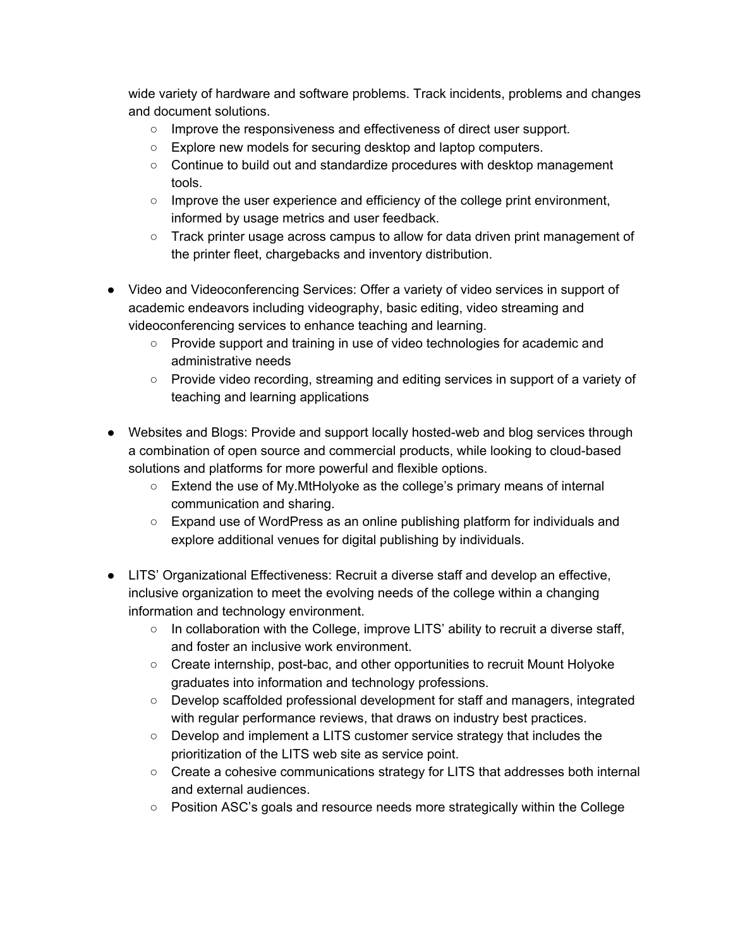wide variety of hardware and software problems. Track incidents, problems and changes and document solutions.

- Improve the responsiveness and effectiveness of direct user support.
- Explore new models for securing desktop and laptop computers.
- Continue to build out and standardize procedures with desktop management tools.
- Improve the user experience and efficiency of the college print environment, informed by usage metrics and user feedback.
- Track printer usage across campus to allow for data driven print management of the printer fleet, chargebacks and inventory distribution.
- Video and Videoconferencing Services: Offer a variety of video services in support of academic endeavors including videography, basic editing, video streaming and videoconferencing services to enhance teaching and learning.
	- Provide support and training in use of video technologies for academic and administrative needs
	- Provide video recording, streaming and editing services in support of a variety of teaching and learning applications
- Websites and Blogs: Provide and support locally hosted-web and blog services through a combination of open source and commercial products, while looking to cloud-based solutions and platforms for more powerful and flexible options.
	- Extend the use of My.MtHolyoke as the college's primary means of internal communication and sharing.
	- Expand use of WordPress as an online publishing platform for individuals and explore additional venues for digital publishing by individuals.
- LITS' Organizational Effectiveness: Recruit a diverse staff and develop an effective, inclusive organization to meet the evolving needs of the college within a changing information and technology environment.
	- In collaboration with the College, improve LITS' ability to recruit a diverse staff, and foster an inclusive work environment.
	- Create internship, post-bac, and other opportunities to recruit Mount Holyoke graduates into information and technology professions.
	- Develop scaffolded professional development for staff and managers, integrated with regular performance reviews, that draws on industry best practices.
	- Develop and implement a LITS customer service strategy that includes the prioritization of the LITS web site as service point.
	- Create a cohesive communications strategy for LITS that addresses both internal and external audiences.
	- Position ASC's goals and resource needs more strategically within the College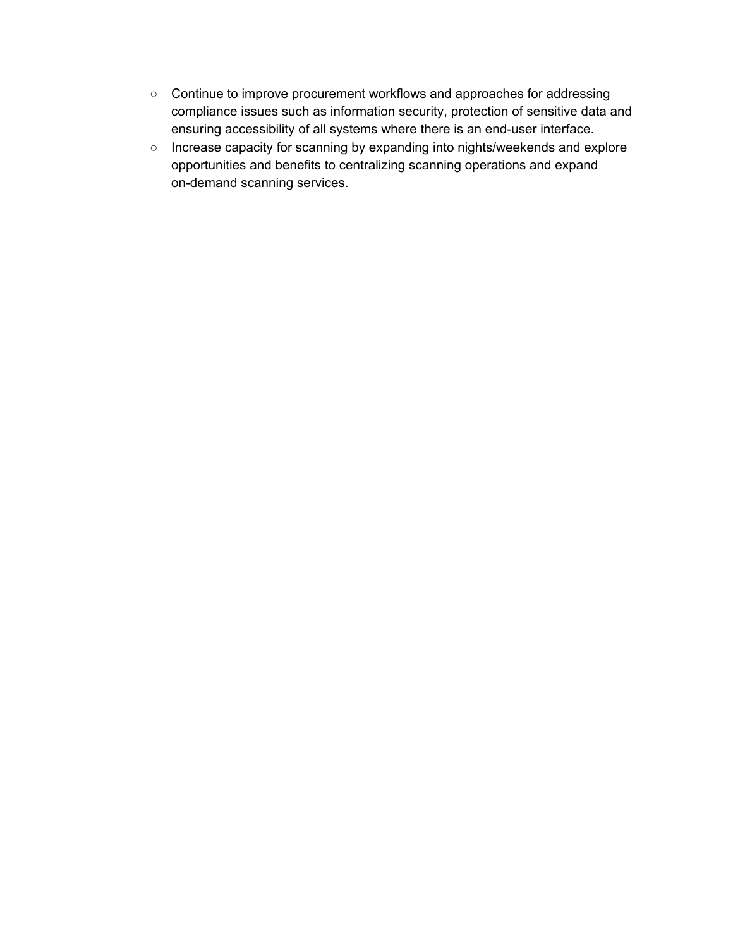- Continue to improve procurement workflows and approaches for addressing compliance issues such as information security, protection of sensitive data and ensuring accessibility of all systems where there is an end-user interface.
- Increase capacity for scanning by expanding into nights/weekends and explore opportunities and benefits to centralizing scanning operations and expand on-demand scanning services.